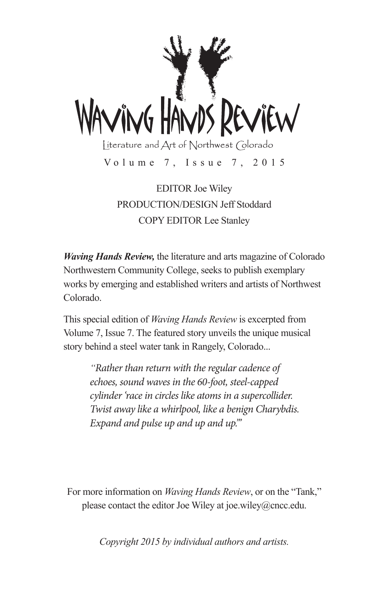

EDITOR Joe Wiley PRODUCTION/DESIGN Jeff Stoddard COPY EDITOR Lee Stanley

*Waving Hands Review,* the literature and arts magazine of Colorado Northwestern Community College, seeks to publish exemplary works by emerging and established writers and artists of Northwest Colorado.

This special edition of *Waving Hands Review* is excerpted from Volume 7, Issue 7. The featured story unveils the unique musical story behind a steel water tank in Rangely, Colorado...

> *"Rather than return with the regular cadence of echoes, sound waves in the 60-foot, steel-capped cylinder 'race in circles like atoms in a supercollider. Twist away like a whirlpool, like a benign Charybdis. Expand and pulse up and up and up."'*

For more information on *Waving Hands Review*, or on the "Tank," please contact the editor Joe Wiley at joe.wiley@cncc.edu.

*Copyright 2015 by individual authors and artists.*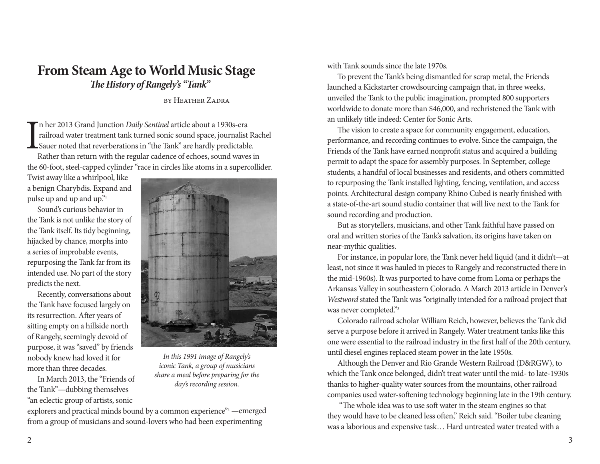## **From Steam Age to World Music Stage** *The History of Rangely's "Tank"*

by Heather Zadra

I n her 2013 Grand Junction *Daily Sentinel* article about a 1930s-era railroad water treatment tank turned sonic sound space, journalist Rachel Sauer noted that reverberations in "the Tank" are hardly predictable.

Rather than return with the regular cadence of echoes, sound waves in the 60-foot, steel-capped cylinder "race in circles like atoms in a supercollider.

Twist away like a whirlpool, like a benign Charybdis. Expand and pulse up and up and up."<sup>1</sup>

Sound's curious behavior in the Tank is not unlike the story of the Tank itself. Its tidy beginning, hijacked by chance, morphs into a series of improbable events, repurposing the Tank far from its intended use. No part of the story predicts the next.

Recently, conversations about the Tank have focused largely on its resurrection. After years of sitting empty on a hillside north of Rangely, seemingly devoid of purpose, it was "saved" by friends nobody knew had loved it for more than three decades.

In March 2013, the "Friends of the Tank"—dubbing themselves "an eclectic group of artists, sonic



*In this 1991 image of Rangely's iconic Tank, a group of musicians share a meal before preparing for the day's recording session.*

explorers and practical minds bound by a common experience"<sup>2</sup> —emerged from a group of musicians and sound-lovers who had been experimenting

with Tank sounds since the late 1970s.

To prevent the Tank's being dismantled for scrap metal, the Friends launched a Kickstarter crowdsourcing campaign that, in three weeks, unveiled the Tank to the public imagination, prompted 800 supporters worldwide to donate more than \$46,000, and rechristened the Tank with an unlikely title indeed: Center for Sonic Arts.

The vision to create a space for community engagement, education, performance, and recording continues to evolve. Since the campaign, the Friends of the Tank have earned nonprofit status and acquired a building permit to adapt the space for assembly purposes. In September, college students, a handful of local businesses and residents, and others committed to repurposing the Tank installed lighting, fencing, ventilation, and access points. Architectural design company Rhino Cubed is nearly finished with a state-of-the-art sound studio container that will live next to the Tank for sound recording and production.

But as storytellers, musicians, and other Tank faithful have passed on oral and written stories of the Tank's salvation, its origins have taken on near-mythic qualities.

For instance, in popular lore, the Tank never held liquid (and it didn't—at least, not since it was hauled in pieces to Rangely and reconstructed there in the mid-1960s). It was purported to have come from Loma or perhaps the Arkansas Valley in southeastern Colorado. A March 2013 article in Denver's *Westword* stated the Tank was "originally intended for a railroad project that was never completed."3

Colorado railroad scholar William Reich, however, believes the Tank did serve a purpose before it arrived in Rangely. Water treatment tanks like this one were essential to the railroad industry in the first half of the 20th century, until diesel engines replaced steam power in the late 1950s.

Although the Denver and Rio Grande Western Railroad (D&RGW), to which the Tank once belonged, didn't treat water until the mid- to late-1930s thanks to higher-quality water sources from the mountains, other railroad companies used water-softening technology beginning late in the 19th century.

 "The whole idea was to use soft water in the steam engines so that they would have to be cleaned less often," Reich said. "Boiler tube cleaning was a laborious and expensive task… Hard untreated water treated with a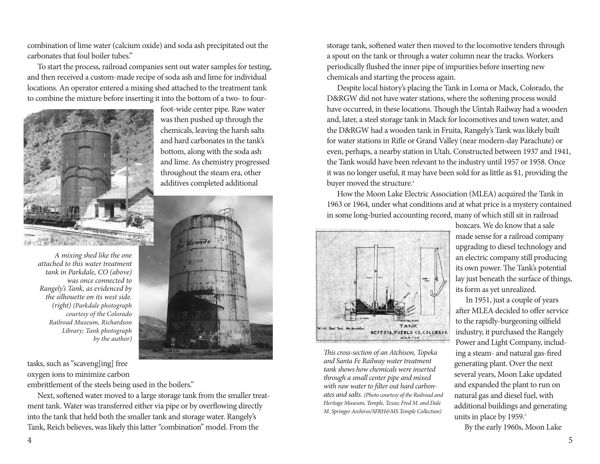combination of lime water (calcium oxide) and soda ash precipitated out the carbonates that foul boiler tubes."

To start the process, railroad companies sent out water samples for testing, and then received a custom-made recipe of soda ash and lime for individual locations. An operator entered a mixing shed attached to the treatment tank to combine the mixture before inserting it into the bottom of a two- to four-

> foot-wide center pipe. Raw water was then pushed up through the chemicals, leaving the harsh salts and hard carbonates in the tank's bottom, along with the soda ash and lime. As chemistry progressed throughout the steam era, other additives completed additional



*A mixing shed like the one attached to this water treatment tank in Parkdale, CO (above) was once connected to Rangely's Tank, as evidenced by the silhouette on its west side. (right) (Parkdale photograph courtesy of the Colorado Railroad Museum, Richardson Library; Tank photograph by the author)*

tasks, such as "scaveng[ing] free oxygen ions to minimize carbon

embrittlement of the steels being used in the boilers."

Next, softened water moved to a large storage tank from the smaller treatment tank. Water was transferred either via pipe or by overflowing directly into the tank that held both the smaller tank and storage water. Rangely's Tank, Reich believes, was likely this latter "combination" model. From the

storage tank, softened water then moved to the locomotive tenders through a spout on the tank or through a water column near the tracks. Workers periodically flushed the inner pipe of impurities before inserting new chemicals and starting the process again.

Despite local history's placing the Tank in Loma or Mack, Colorado, the D&RGW did not have water stations, where the softening process would have occurred, in these locations. Though the Uintah Railway had a wooden and, later, a steel storage tank in Mack for locomotives and town water, and the D&RGW had a wooden tank in Fruita, Rangely's Tank was likely built for water stations in Rifle or Grand Valley (near modern-day Parachute) or even, perhaps, a nearby station in Utah. Constructed between 1937 and 1941, the Tank would have been relevant to the industry until 1957 or 1958. Once it was no longer useful, it may have been sold for as little as \$1, providing the buyer moved the structure.<sup>4</sup>

How the Moon Lake Electric Association (MLEA) acquired the Tank in 1963 or 1964, under what conditions and at what price is a mystery contained in some long-buried accounting record, many of which still sit in railroad



*This cross-section of an Atchison, Topeka and Santa Fe Railway water treatment tank shows how chemicals were inserted through a small center pipe and mixed with raw water to filter out hard carbonates and salts. (Photo courtesy of the Railroad and Heritage Museum, Temple, Texas; Fred M. and Dale M. Springer Archives/SFRH&MS Temple Collection)*

boxcars. We do know that a sale made sense for a railroad company upgrading to diesel technology and an electric company still producing its own power. The Tank's potential lay just beneath the surface of things, its form as yet unrealized.

In 1951, just a couple of years after MLEA decided to offer service to the rapidly-burgeoning oilfield industry, it purchased the Rangely Power and Light Company, including a steam- and natural gas-fired generating plant. Over the next several years, Moon Lake updated and expanded the plant to run on natural gas and diesel fuel, with additional buildings and generating units in place by 1959.<sup>5</sup>

By the early 1960s, Moon Lake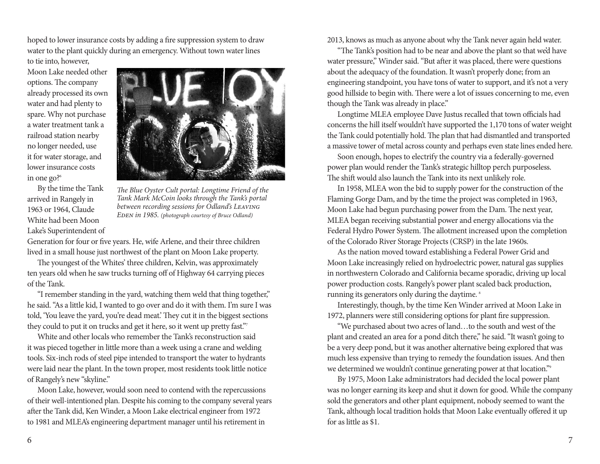hoped to lower insurance costs by adding a fire suppression system to draw water to the plant quickly during an emergency. Without town water lines to tie into, however,

Moon Lake needed other options. The company already processed its own water and had plenty to spare. Why not purchase a water treatment tank a railroad station nearby no longer needed, use it for water storage, and lower insurance costs in one go? $6^{\circ}$ 

By the time the Tank arrived in Rangely in 1963 or 1964, Claude White had been Moon Lake's Superintendent of



*The Blue Oyster Cult portal: Longtime Friend of the Tank Mark McCoin looks through the Tank's portal between recording sessions for Odland's Leaving EDEN in 1985. (photograph courtesy of Bruce Odland)* 

Generation for four or five years. He, wife Arlene, and their three children lived in a small house just northwest of the plant on Moon Lake property.

The youngest of the Whites' three children, Kelvin, was approximately ten years old when he saw trucks turning off of Highway 64 carrying pieces of the Tank.

"I remember standing in the yard, watching them weld that thing together," he said. "As a little kid, I wanted to go over and do it with them. I'm sure I was told, 'You leave the yard, you're dead meat.' They cut it in the biggest sections they could to put it on trucks and get it here, so it went up pretty fast."<sup>7</sup>

White and other locals who remember the Tank's reconstruction said it was pieced together in little more than a week using a crane and welding tools. Six-inch rods of steel pipe intended to transport the water to hydrants were laid near the plant. In the town proper, most residents took little notice of Rangely's new "skyline."

Moon Lake, however, would soon need to contend with the repercussions of their well-intentioned plan. Despite his coming to the company several years after the Tank did, Ken Winder, a Moon Lake electrical engineer from 1972 to 1981 and MLEA's engineering department manager until his retirement in

2013, knows as much as anyone about why the Tank never again held water.

"The Tank's position had to be near and above the plant so that we'd have water pressure," Winder said. "But after it was placed, there were questions about the adequacy of the foundation. It wasn't properly done; from an engineering standpoint, you have tons of water to support, and it's not a very good hillside to begin with. There were a lot of issues concerning to me, even though the Tank was already in place."

Longtime MLEA employee Dave Justus recalled that town officials had concerns the hill itself wouldn't have supported the 1,170 tons of water weight the Tank could potentially hold. The plan that had dismantled and transported a massive tower of metal across county and perhaps even state lines ended here.

Soon enough, hopes to electrify the country via a federally-governed power plan would render the Tank's strategic hilltop perch purposeless. The shift would also launch the Tank into its next unlikely role.

In 1958, MLEA won the bid to supply power for the construction of the Flaming Gorge Dam, and by the time the project was completed in 1963, Moon Lake had begun purchasing power from the Dam. The next year, MLEA began receiving substantial power and energy allocations via the Federal Hydro Power System. The allotment increased upon the completion of the Colorado River Storage Projects (CRSP) in the late 1960s.

As the nation moved toward establishing a Federal Power Grid and Moon Lake increasingly relied on hydroelectric power, natural gas supplies in northwestern Colorado and California became sporadic, driving up local power production costs. Rangely's power plant scaled back production, running its generators only during the daytime. 8

Interestingly, though, by the time Ken Winder arrived at Moon Lake in 1972, planners were still considering options for plant fire suppression.

"We purchased about two acres of land…to the south and west of the plant and created an area for a pond ditch there," he said. "It wasn't going to be a very deep pond, but it was another alternative being explored that was much less expensive than trying to remedy the foundation issues. And then we determined we wouldn't continue generating power at that location."9

By 1975, Moon Lake administrators had decided the local power plant was no longer earning its keep and shut it down for good. While the company sold the generators and other plant equipment, nobody seemed to want the Tank, although local tradition holds that Moon Lake eventually offered it up for as little as \$1.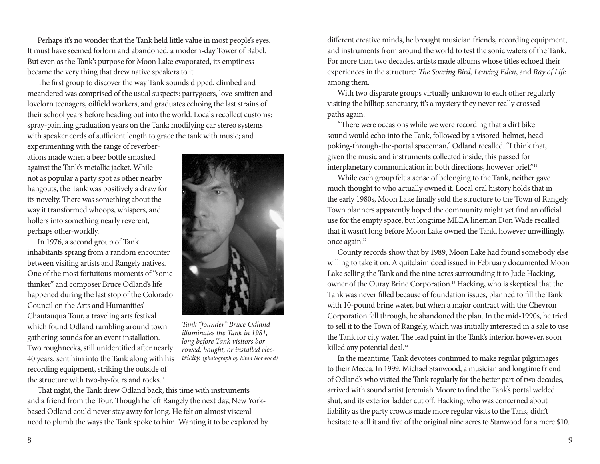Perhaps it's no wonder that the Tank held little value in most people's eyes. It must have seemed forlorn and abandoned, a modern-day Tower of Babel. But even as the Tank's purpose for Moon Lake evaporated, its emptiness became the very thing that drew native speakers to it.

The first group to discover the way Tank sounds dipped, climbed and meandered was comprised of the usual suspects: partygoers, love-smitten and lovelorn teenagers, oilfield workers, and graduates echoing the last strains of their school years before heading out into the world. Locals recollect customs: spray-painting graduation years on the Tank; modifying car stereo systems with speaker cords of sufficient length to grace the tank with music; and

experimenting with the range of reverberations made when a beer bottle smashed against the Tank's metallic jacket. While not as popular a party spot as other nearby hangouts, the Tank was positively a draw for its novelty. There was something about the way it transformed whoops, whispers, and hollers into something nearly reverent, perhaps other-worldly.

In 1976, a second group of Tank inhabitants sprang from a random encounter between visiting artists and Rangely natives. One of the most fortuitous moments of "sonic thinker" and composer Bruce Odland's life happened during the last stop of the Colorado Council on the Arts and Humanities' Chautauqua Tour, a traveling arts festival which found Odland rambling around town gathering sounds for an event installation. Two roughnecks, still unidentified after nearly 40 years, sent him into the Tank along with his recording equipment, striking the outside of the structure with two-by-fours and rocks.<sup>10</sup>



*Tank "founder" Bruce Odland illuminates the Tank in 1981, long before Tank visitors borrowed, bought, or installed electricity. (photograph by Elton Norwood)*

That night, the Tank drew Odland back, this time with instruments and a friend from the Tour. Though he left Rangely the next day, New Yorkbased Odland could never stay away for long. He felt an almost visceral need to plumb the ways the Tank spoke to him. Wanting it to be explored by different creative minds, he brought musician friends, recording equipment, and instruments from around the world to test the sonic waters of the Tank. For more than two decades, artists made albums whose titles echoed their experiences in the structure: *The Soaring Bird, Leaving Eden*, and *Ray of Life* among them.

With two disparate groups virtually unknown to each other regularly visiting the hilltop sanctuary, it's a mystery they never really crossed paths again.

"There were occasions while we were recording that a dirt bike sound would echo into the Tank, followed by a visored-helmet, headpoking-through-the-portal spaceman," Odland recalled. "I think that, given the music and instruments collected inside, this passed for interplanetary communication in both directions, however brief."<sup>11</sup>

While each group felt a sense of belonging to the Tank, neither gave much thought to who actually owned it. Local oral history holds that in the early 1980s, Moon Lake finally sold the structure to the Town of Rangely. Town planners apparently hoped the community might yet find an official use for the empty space, but longtime MLEA lineman Don Wade recalled that it wasn't long before Moon Lake owned the Tank, however unwillingly, once again.<sup>12</sup>

County records show that by 1989, Moon Lake had found somebody else willing to take it on. A quitclaim deed issued in February documented Moon Lake selling the Tank and the nine acres surrounding it to Jude Hacking, owner of the Ouray Brine Corporation.<sup>13</sup> Hacking, who is skeptical that the Tank was never filled because of foundation issues, planned to fill the Tank with 10-pound brine water, but when a major contract with the Chevron Corporation fell through, he abandoned the plan. In the mid-1990s, he tried to sell it to the Town of Rangely, which was initially interested in a sale to use the Tank for city water. The lead paint in the Tank's interior, however, soon killed any potential deal.<sup>14</sup>

In the meantime, Tank devotees continued to make regular pilgrimages to their Mecca. In 1999, Michael Stanwood, a musician and longtime friend of Odland's who visited the Tank regularly for the better part of two decades, arrived with sound artist Jeremiah Moore to find the Tank's portal welded shut, and its exterior ladder cut off. Hacking, who was concerned about liability as the party crowds made more regular visits to the Tank, didn't hesitate to sell it and five of the original nine acres to Stanwood for a mere \$10.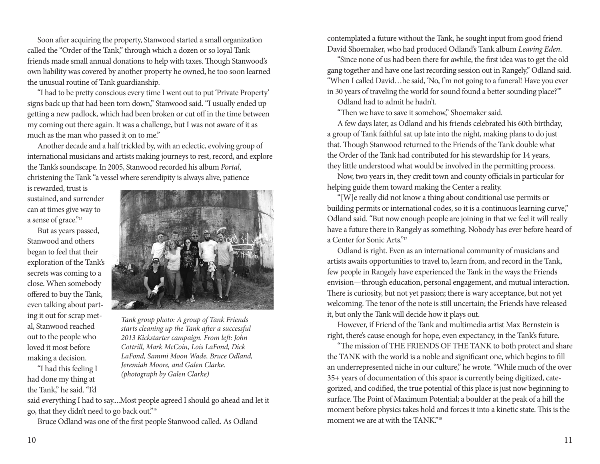Soon after acquiring the property, Stanwood started a small organization called the "Order of the Tank," through which a dozen or so loyal Tank friends made small annual donations to help with taxes. Though Stanwood's own liability was covered by another property he owned, he too soon learned the unusual routine of Tank guardianship.

"I had to be pretty conscious every time I went out to put 'Private Property' signs back up that had been torn down," Stanwood said. "I usually ended up getting a new padlock, which had been broken or cut off in the time between my coming out there again. It was a challenge, but I was not aware of it as much as the man who passed it on to me."

Another decade and a half trickled by, with an eclectic, evolving group of international musicians and artists making journeys to rest, record, and explore the Tank's soundscape. In 2005, Stanwood recorded his album *Portal*, christening the Tank "a vessel where serendipity is always alive, patience

is rewarded, trust is sustained, and surrender can at times give way to a sense of grace."15

But as years passed, Stanwood and others began to feel that their exploration of the Tank's secrets was coming to a close. When somebody offered to buy the Tank, even talking about parting it out for scrap metal, Stanwood reached out to the people who loved it most before making a decision.

"I had this feeling I had done my thing at the Tank," he said. "I'd



*Tank group photo: A group of Tank Friends starts cleaning up the Tank after a successful 2013 Kickstarter campaign. From left: John Cottrill, Mark McCoin, Lois LaFond, Dick LaFond, Sammi Moon Wade, Bruce Odland, Jeremiah Moore, and Galen Clarke. (photograph by Galen Clarke)*

said everything I had to say....Most people agreed I should go ahead and let it go, that they didn't need to go back out."16

Bruce Odland was one of the first people Stanwood called. As Odland

contemplated a future without the Tank, he sought input from good friend David Shoemaker, who had produced Odland's Tank album *Leaving Eden*.

"Since none of us had been there for awhile, the first idea was to get the old gang together and have one last recording session out in Rangely," Odland said. "When I called David…he said, 'No, I'm not going to a funeral! Have you ever in 30 years of traveling the world for sound found a better sounding place?'"

Odland had to admit he hadn't.

"Then we have to save it somehow," Shoemaker said.

A few days later, as Odland and his friends celebrated his 60th birthday, a group of Tank faithful sat up late into the night, making plans to do just that. Though Stanwood returned to the Friends of the Tank double what the Order of the Tank had contributed for his stewardship for 14 years, they little understood what would be involved in the permitting process.

Now, two years in, they credit town and county officials in particular for helping guide them toward making the Center a reality.

"[W]e really did not know a thing about conditional use permits or building permits or international codes, so it is a continuous learning curve," Odland said. "But now enough people are joining in that we feel it will really have a future there in Rangely as something. Nobody has ever before heard of a Center for Sonic Arts."17

Odland is right. Even as an international community of musicians and artists awaits opportunities to travel to, learn from, and record in the Tank, few people in Rangely have experienced the Tank in the ways the Friends envision—through education, personal engagement, and mutual interaction. There is curiosity, but not yet passion; there is wary acceptance, but not yet welcoming. The tenor of the note is still uncertain; the Friends have released it, but only the Tank will decide how it plays out.

However, if Friend of the Tank and multimedia artist Max Bernstein is right, there's cause enough for hope, even expectancy, in the Tank's future.

"The mission of THE FRIENDS OF THE TANK to both protect and share the TANK with the world is a noble and significant one, which begins to fill an underrepresented niche in our culture," he wrote. "While much of the over 35+ years of documentation of this space is currently being digitized, categorized, and codified, the true potential of this place is just now beginning to surface. The Point of Maximum Potential; a boulder at the peak of a hill the moment before physics takes hold and forces it into a kinetic state. This is the moment we are at with the TANK"<sup>18</sup>